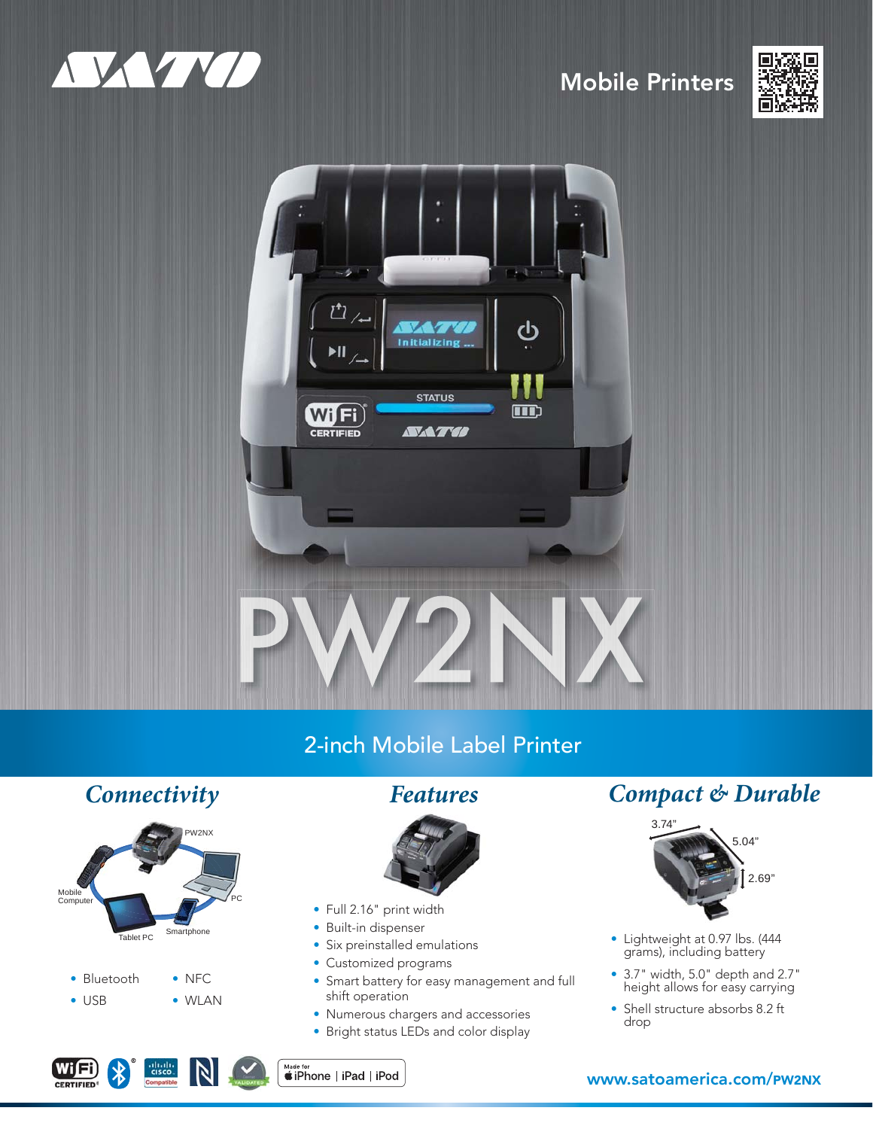

# Mobile Printers





# 2-inch Mobile Label Printer



 $rac{1}{100}$ <br>CISCO.

 $\mathbb N$ 

WIFI)



- Full 2.16" print width
- Built-in dispenser
- Six preinstalled emulations
- Customized programs
- Smart battery for easy management and full shift operation
- Numerous chargers and accessories
- Bright status LEDs and color display

# *Connectivity Features Compact & Durable*



- Lightweight at 0.97 lbs. (444 grams), including battery
- 3.7" width, 5.0" depth and 2.7" height allows for easy carrying
- Shell structure absorbs 8.2 ft drop

# www.satoamerica.com/PW2NX